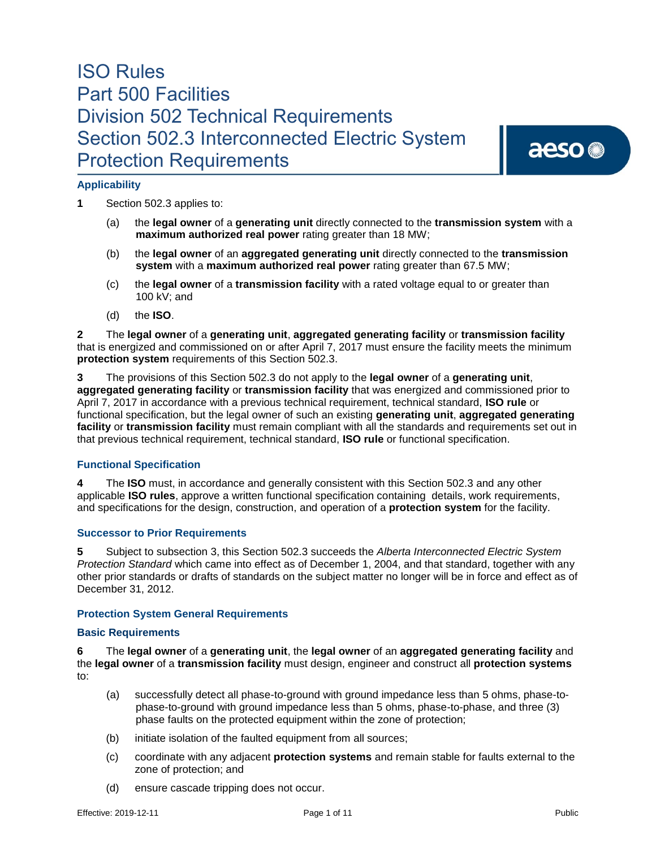# aeso<sup>®</sup>

# **Applicability**

**1** Section 502.3 applies to:

- (a) the **legal owner** of a **generating unit** directly connected to the **transmission system** with a **maximum authorized real power** rating greater than 18 MW;
- (b) the **legal owner** of an **aggregated generating unit** directly connected to the **transmission system** with a **maximum authorized real power** rating greater than 67.5 MW;
- (c) the **legal owner** of a **transmission facility** with a rated voltage equal to or greater than 100 kV; and
- (d) the **ISO**.

**2** The **legal owner** of a **generating unit**, **aggregated generating facility** or **transmission facility** that is energized and commissioned on or after April 7, 2017 must ensure the facility meets the minimum **protection system** requirements of this Section 502.3.

**3** The provisions of this Section 502.3 do not apply to the **legal owner** of a **generating unit**, **aggregated generating facility** or **transmission facility** that was energized and commissioned prior to April 7, 2017 in accordance with a previous technical requirement, technical standard, **ISO rule** or functional specification, but the legal owner of such an existing **generating unit**, **aggregated generating facility** or **transmission facility** must remain compliant with all the standards and requirements set out in that previous technical requirement, technical standard, **ISO rule** or functional specification.

# **Functional Specification**

**4** The **ISO** must, in accordance and generally consistent with this Section 502.3 and any other applicable **ISO rules**, approve a written functional specification containing details, work requirements, and specifications for the design, construction, and operation of a **protection system** for the facility.

# **Successor to Prior Requirements**

**5** Subject to subsection 3, this Section 502.3 succeeds the *Alberta Interconnected Electric System Protection Standard* which came into effect as of December 1, 2004, and that standard, together with any other prior standards or drafts of standards on the subject matter no longer will be in force and effect as of December 31, 2012.

# **Protection System General Requirements**

# **Basic Requirements**

**6** The **legal owner** of a **generating unit**, the **legal owner** of an **aggregated generating facility** and the **legal owner** of a **transmission facility** must design, engineer and construct all **protection systems**  to:

- (a) successfully detect all phase-to-ground with ground impedance less than 5 ohms, phase-tophase-to-ground with ground impedance less than 5 ohms, phase-to-phase, and three (3) phase faults on the protected equipment within the zone of protection;
- (b) initiate isolation of the faulted equipment from all sources;
- (c) coordinate with any adjacent **protection systems** and remain stable for faults external to the zone of protection; and
- (d) ensure cascade tripping does not occur.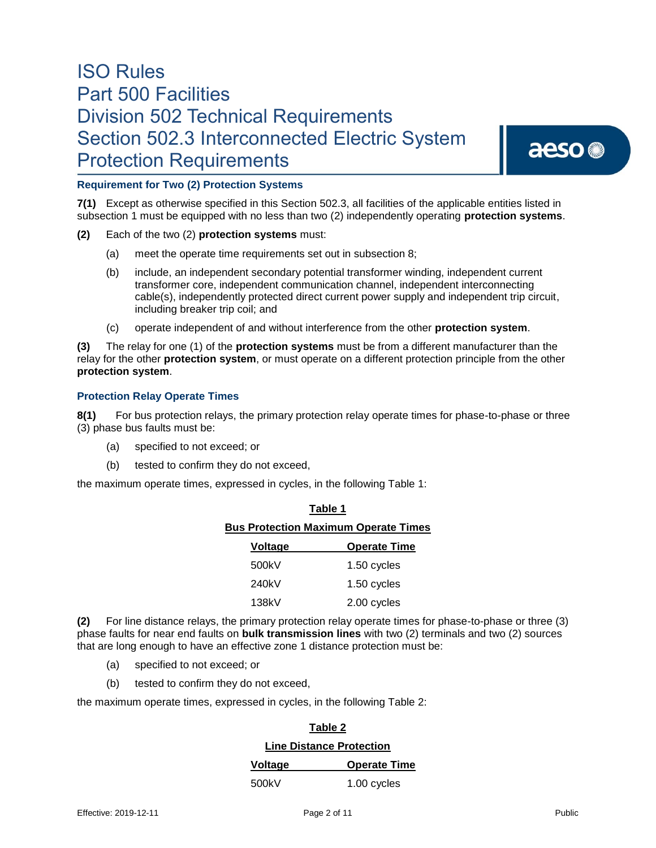# aeso<sup>®</sup>

# **Requirement for Two (2) Protection Systems**

**7(1)** Except as otherwise specified in this Section 502.3, all facilities of the applicable entities listed in subsection 1 must be equipped with no less than two (2) independently operating **protection systems**.

- **(2)** Each of the two (2) **protection systems** must:
	- (a) meet the operate time requirements set out in subsection 8;
	- (b) include, an independent secondary potential transformer winding, independent current transformer core, independent communication channel, independent interconnecting cable(s), independently protected direct current power supply and independent trip circuit, including breaker trip coil; and
	- (c) operate independent of and without interference from the other **protection system**.

**(3)** The relay for one (1) of the **protection systems** must be from a different manufacturer than the relay for the other **protection system**, or must operate on a different protection principle from the other **protection system**.

## **Protection Relay Operate Times**

**8(1)** For bus protection relays, the primary protection relay operate times for phase-to-phase or three (3) phase bus faults must be:

**Table 1** 

- (a) specified to not exceed; or
- (b) tested to confirm they do not exceed,

the maximum operate times, expressed in cycles, in the following Table 1:

| l able 1                                    |                     |  |  |  |
|---------------------------------------------|---------------------|--|--|--|
| <b>Bus Protection Maximum Operate Times</b> |                     |  |  |  |
| <b>Voltage</b>                              | <b>Operate Time</b> |  |  |  |
| 500kV                                       | 1.50 cycles         |  |  |  |
| 240kV                                       | 1.50 cycles         |  |  |  |
| 138kV                                       | 2.00 cycles         |  |  |  |

**(2)** For line distance relays, the primary protection relay operate times for phase-to-phase or three (3) phase faults for near end faults on **bulk transmission lines** with two (2) terminals and two (2) sources that are long enough to have an effective zone 1 distance protection must be:

- (a) specified to not exceed; or
- (b) tested to confirm they do not exceed,

the maximum operate times, expressed in cycles, in the following Table 2:

# **Table 2**

#### **Line Distance Protection**

| Voltage | <b>Operate Time</b> |  |
|---------|---------------------|--|
|         |                     |  |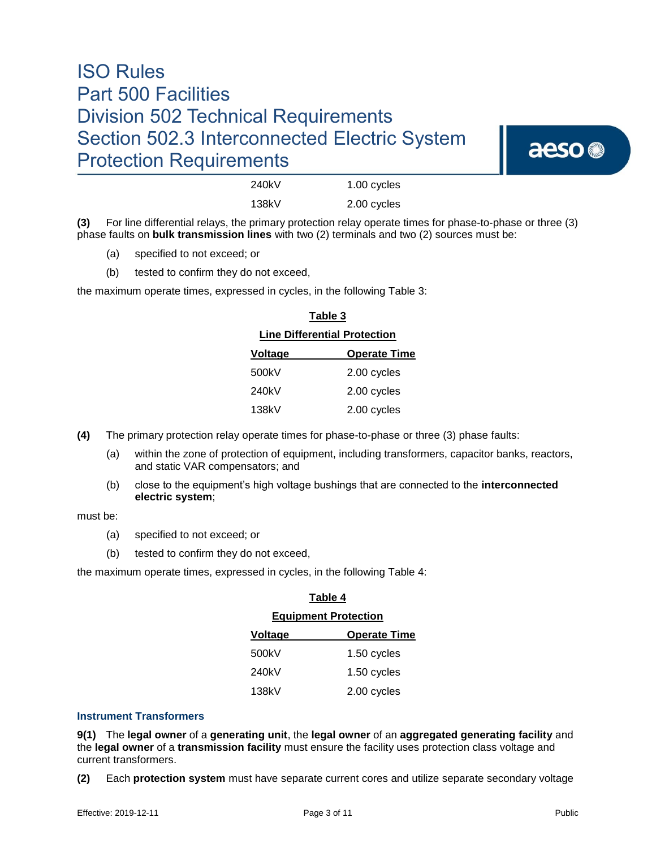

| 240kV | 1.00 cycles |
|-------|-------------|
| 138kV | 2.00 cycles |

**(3)** For line differential relays, the primary protection relay operate times for phase-to-phase or three (3) phase faults on **bulk transmission lines** with two (2) terminals and two (2) sources must be:

- (a) specified to not exceed; or
- (b) tested to confirm they do not exceed,

the maximum operate times, expressed in cycles, in the following Table 3:

| <b>Line Differential Protection</b> |                     |  |
|-------------------------------------|---------------------|--|
| Voltage                             | <b>Operate Time</b> |  |
| 500kV                               | 2.00 cycles         |  |
| 240kV                               | 2.00 cycles         |  |
| 138kV                               | 2.00 cycles         |  |

**Table 3**

**(4)** The primary protection relay operate times for phase-to-phase or three (3) phase faults:

- (a) within the zone of protection of equipment, including transformers, capacitor banks, reactors, and static VAR compensators; and
- (b) close to the equipment's high voltage bushings that are connected to the **interconnected electric system**;

must be:

- (a) specified to not exceed; or
- (b) tested to confirm they do not exceed,

the maximum operate times, expressed in cycles, in the following Table 4:

| Table 4                     |                     |  |
|-----------------------------|---------------------|--|
| <b>Equipment Protection</b> |                     |  |
| Voltage                     | <b>Operate Time</b> |  |
| 500kV                       | 1.50 cycles         |  |
| 240kV                       | 1.50 cycles         |  |
| 138kV                       | 2.00 cycles         |  |

# **Instrument Transformers**

**9(1)** The **legal owner** of a **generating unit**, the **legal owner** of an **aggregated generating facility** and the **legal owner** of a **transmission facility** must ensure the facility uses protection class voltage and current transformers.

**(2)** Each **protection system** must have separate current cores and utilize separate secondary voltage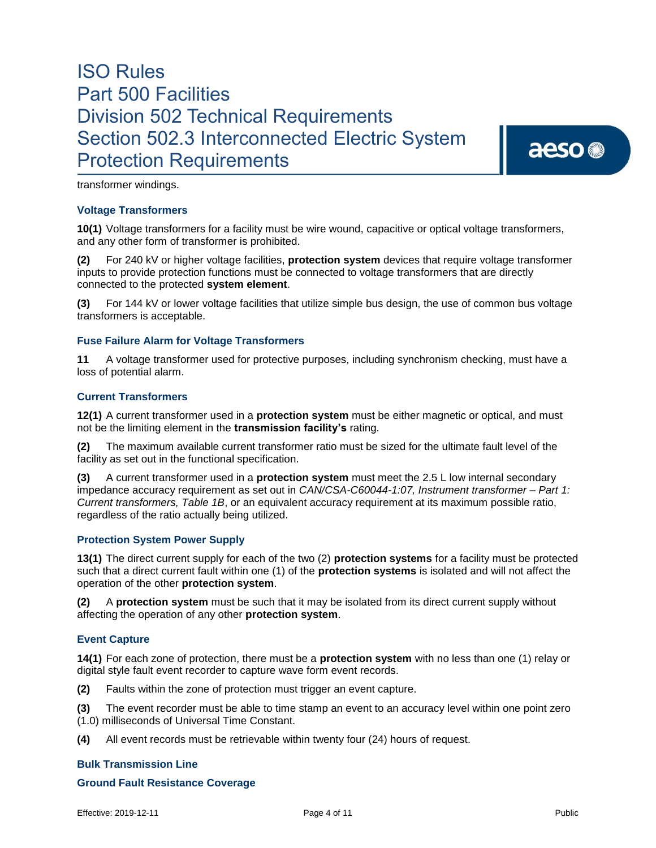aeso<sup>®</sup>

transformer windings.

## **Voltage Transformers**

**10(1)** Voltage transformers for a facility must be wire wound, capacitive or optical voltage transformers, and any other form of transformer is prohibited.

**(2)** For 240 kV or higher voltage facilities, **protection system** devices that require voltage transformer inputs to provide protection functions must be connected to voltage transformers that are directly connected to the protected **system element**.

**(3)** For 144 kV or lower voltage facilities that utilize simple bus design, the use of common bus voltage transformers is acceptable.

## **Fuse Failure Alarm for Voltage Transformers**

**11** A voltage transformer used for protective purposes, including synchronism checking, must have a loss of potential alarm.

## **Current Transformers**

**12(1)** A current transformer used in a **protection system** must be either magnetic or optical, and must not be the limiting element in the **transmission facility's** rating.

**(2)** The maximum available current transformer ratio must be sized for the ultimate fault level of the facility as set out in the functional specification.

**(3)** A current transformer used in a **protection system** must meet the 2.5 L low internal secondary impedance accuracy requirement as set out in *CAN/CSA-C60044-1:07, Instrument transformer – Part 1: Current transformers, Table 1B*, or an equivalent accuracy requirement at its maximum possible ratio, regardless of the ratio actually being utilized.

#### **Protection System Power Supply**

**13(1)** The direct current supply for each of the two (2) **protection systems** for a facility must be protected such that a direct current fault within one (1) of the **protection systems** is isolated and will not affect the operation of the other **protection system**.

**(2)** A **protection system** must be such that it may be isolated from its direct current supply without affecting the operation of any other **protection system**.

# **Event Capture**

**14(1)** For each zone of protection, there must be a **protection system** with no less than one (1) relay or digital style fault event recorder to capture wave form event records.

**(2)** Faults within the zone of protection must trigger an event capture.

**(3)** The event recorder must be able to time stamp an event to an accuracy level within one point zero (1.0) milliseconds of Universal Time Constant.

**(4)** All event records must be retrievable within twenty four (24) hours of request.

#### **Bulk Transmission Line**

### **Ground Fault Resistance Coverage**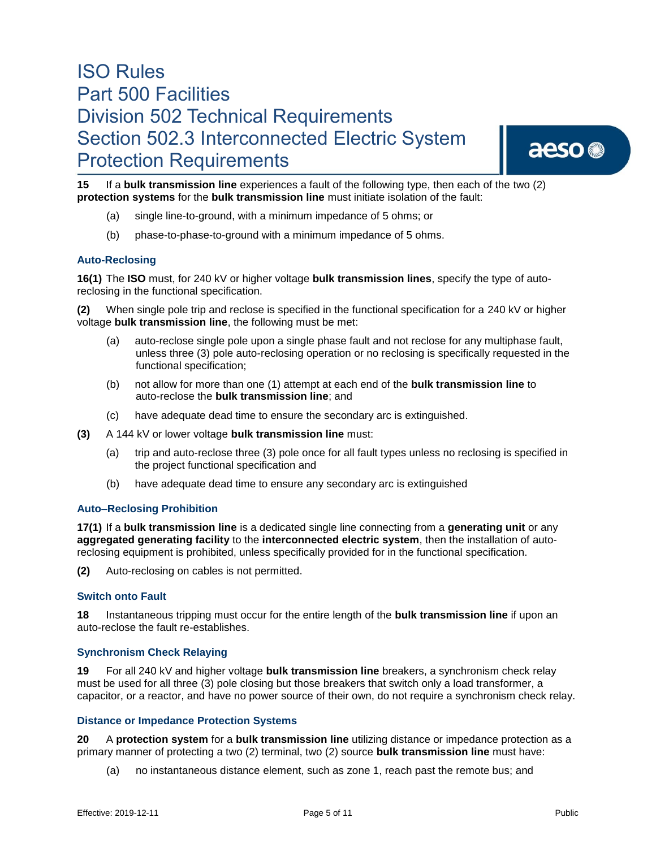aeso<sup>®</sup>

**15** If a **bulk transmission line** experiences a fault of the following type, then each of the two (2) **protection systems** for the **bulk transmission line** must initiate isolation of the fault:

- (a) single line-to-ground, with a minimum impedance of 5 ohms; or
- (b) phase-to-phase-to-ground with a minimum impedance of 5 ohms.

# **Auto-Reclosing**

**16(1)** The **ISO** must, for 240 kV or higher voltage **bulk transmission lines**, specify the type of autoreclosing in the functional specification.

**(2)** When single pole trip and reclose is specified in the functional specification for a 240 kV or higher voltage **bulk transmission line**, the following must be met:

- (a) auto-reclose single pole upon a single phase fault and not reclose for any multiphase fault, unless three (3) pole auto-reclosing operation or no reclosing is specifically requested in the functional specification;
- (b) not allow for more than one (1) attempt at each end of the **bulk transmission line** to auto-reclose the **bulk transmission line**; and
- (c) have adequate dead time to ensure the secondary arc is extinguished.
- **(3)** A 144 kV or lower voltage **bulk transmission line** must:
	- (a) trip and auto-reclose three (3) pole once for all fault types unless no reclosing is specified in the project functional specification and
	- (b) have adequate dead time to ensure any secondary arc is extinguished

# **Auto–Reclosing Prohibition**

**17(1)** If a **bulk transmission line** is a dedicated single line connecting from a **generating unit** or any **aggregated generating facility** to the **interconnected electric system**, then the installation of autoreclosing equipment is prohibited, unless specifically provided for in the functional specification.

**(2)** Auto-reclosing on cables is not permitted.

### **Switch onto Fault**

**18** Instantaneous tripping must occur for the entire length of the **bulk transmission line** if upon an auto-reclose the fault re-establishes.

#### **Synchronism Check Relaying**

**19** For all 240 kV and higher voltage **bulk transmission line** breakers, a synchronism check relay must be used for all three (3) pole closing but those breakers that switch only a load transformer, a capacitor, or a reactor, and have no power source of their own, do not require a synchronism check relay.

## **Distance or Impedance Protection Systems**

**20** A **protection system** for a **bulk transmission line** utilizing distance or impedance protection as a primary manner of protecting a two (2) terminal, two (2) source **bulk transmission line** must have:

(a) no instantaneous distance element, such as zone 1, reach past the remote bus; and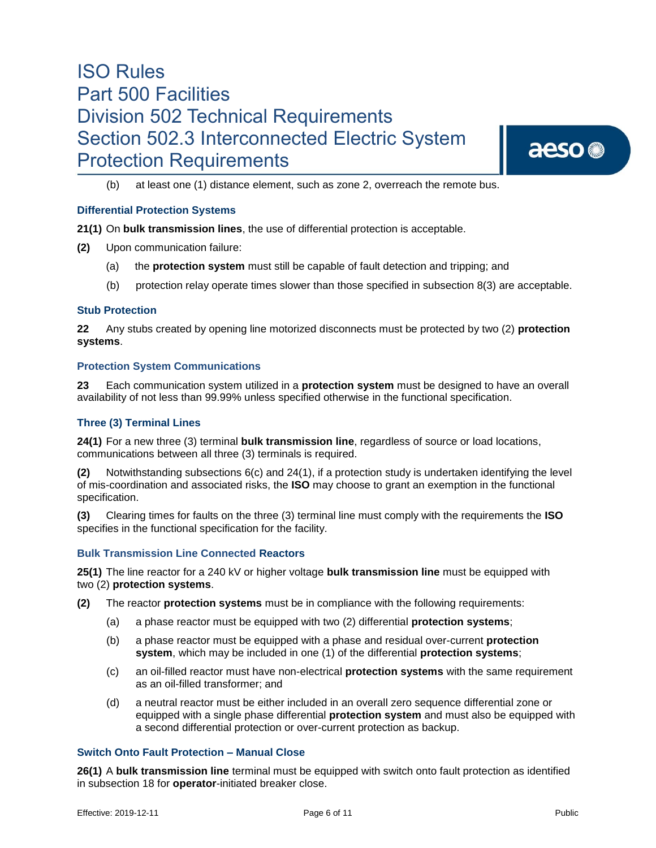# aeso<sup>®</sup>

(b) at least one (1) distance element, such as zone 2, overreach the remote bus.

# **Differential Protection Systems**

**21(1)** On **bulk transmission lines**, the use of differential protection is acceptable.

- **(2)** Upon communication failure:
	- (a) the **protection system** must still be capable of fault detection and tripping; and
	- (b) protection relay operate times slower than those specified in subsection 8(3) are acceptable.

#### **Stub Protection**

**22** Any stubs created by opening line motorized disconnects must be protected by two (2) **protection systems**.

#### **Protection System Communications**

**23** Each communication system utilized in a **protection system** must be designed to have an overall availability of not less than 99.99% unless specified otherwise in the functional specification.

## **Three (3) Terminal Lines**

**24(1)** For a new three (3) terminal **bulk transmission line**, regardless of source or load locations, communications between all three (3) terminals is required.

**(2)** Notwithstanding subsections 6(c) and 24(1), if a protection study is undertaken identifying the level of mis-coordination and associated risks, the **ISO** may choose to grant an exemption in the functional specification.

**(3)** Clearing times for faults on the three (3) terminal line must comply with the requirements the **ISO** specifies in the functional specification for the facility.

#### **Bulk Transmission Line Connected Reactors**

**25(1)** The line reactor for a 240 kV or higher voltage **bulk transmission line** must be equipped with two (2) **protection systems**.

- **(2)** The reactor **protection systems** must be in compliance with the following requirements:
	- (a) a phase reactor must be equipped with two (2) differential **protection systems**;
	- (b) a phase reactor must be equipped with a phase and residual over-current **protection system**, which may be included in one (1) of the differential **protection systems**;
	- (c) an oil-filled reactor must have non-electrical **protection systems** with the same requirement as an oil-filled transformer; and
	- (d) a neutral reactor must be either included in an overall zero sequence differential zone or equipped with a single phase differential **protection system** and must also be equipped with a second differential protection or over-current protection as backup.

# **Switch Onto Fault Protection – Manual Close**

**26(1)** A **bulk transmission line** terminal must be equipped with switch onto fault protection as identified in subsection 18 for **operator**-initiated breaker close.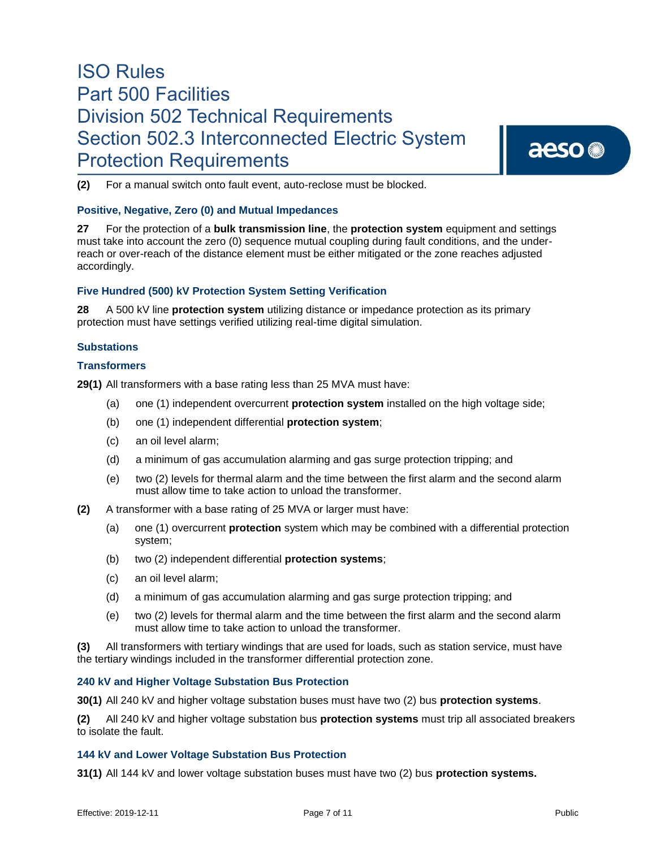aeso<sup>®</sup>

**(2)** For a manual switch onto fault event, auto-reclose must be blocked.

# **Positive, Negative, Zero (0) and Mutual Impedances**

**27** For the protection of a **bulk transmission line**, the **protection system** equipment and settings must take into account the zero (0) sequence mutual coupling during fault conditions, and the underreach or over-reach of the distance element must be either mitigated or the zone reaches adjusted accordingly.

#### **Five Hundred (500) kV Protection System Setting Verification**

**28** A 500 kV line **protection system** utilizing distance or impedance protection as its primary protection must have settings verified utilizing real-time digital simulation.

## **Substations**

## **Transformers**

**29(1)** All transformers with a base rating less than 25 MVA must have:

- (a) one (1) independent overcurrent **protection system** installed on the high voltage side;
- (b) one (1) independent differential **protection system**;
- (c) an oil level alarm;
- (d) a minimum of gas accumulation alarming and gas surge protection tripping; and
- (e) two (2) levels for thermal alarm and the time between the first alarm and the second alarm must allow time to take action to unload the transformer.
- **(2)** A transformer with a base rating of 25 MVA or larger must have:
	- (a) one (1) overcurrent **protection** system which may be combined with a differential protection system;
	- (b) two (2) independent differential **protection systems**;
	- (c) an oil level alarm;
	- (d) a minimum of gas accumulation alarming and gas surge protection tripping; and
	- (e) two (2) levels for thermal alarm and the time between the first alarm and the second alarm must allow time to take action to unload the transformer.

**(3)** All transformers with tertiary windings that are used for loads, such as station service, must have the tertiary windings included in the transformer differential protection zone.

#### **240 kV and Higher Voltage Substation Bus Protection**

**30(1)** All 240 kV and higher voltage substation buses must have two (2) bus **protection systems**.

**(2)** All 240 kV and higher voltage substation bus **protection systems** must trip all associated breakers to isolate the fault.

### **144 kV and Lower Voltage Substation Bus Protection**

**31(1)** All 144 kV and lower voltage substation buses must have two (2) bus **protection systems.**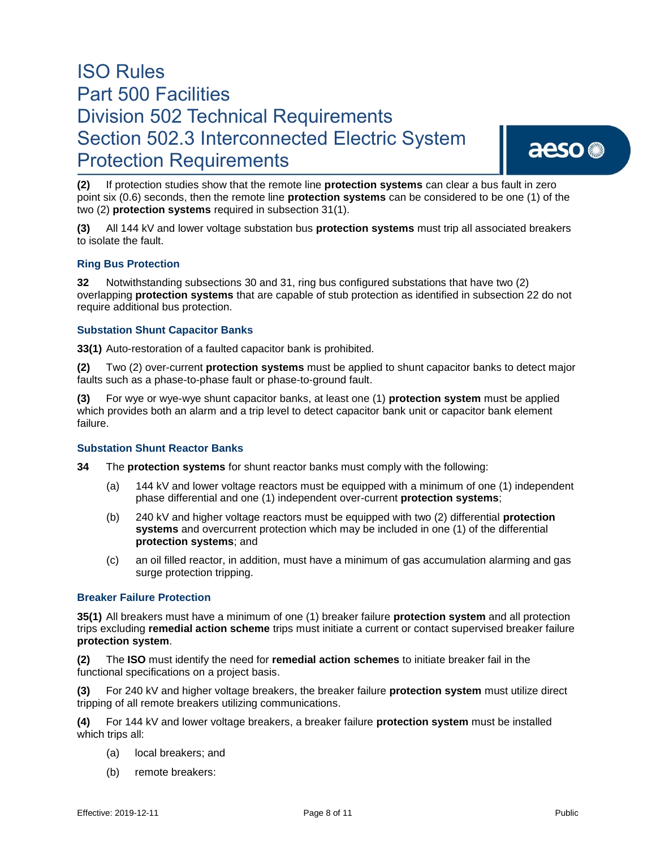# aeso<sup>®</sup>

**(2)** If protection studies show that the remote line **protection systems** can clear a bus fault in zero point six (0.6) seconds, then the remote line **protection systems** can be considered to be one (1) of the two (2) **protection systems** required in subsection 31(1).

**(3)** All 144 kV and lower voltage substation bus **protection systems** must trip all associated breakers to isolate the fault.

## **Ring Bus Protection**

**32** Notwithstanding subsections 30 and 31, ring bus configured substations that have two (2) overlapping **protection systems** that are capable of stub protection as identified in subsection 22 do not require additional bus protection.

## **Substation Shunt Capacitor Banks**

**33(1)** Auto-restoration of a faulted capacitor bank is prohibited.

**(2)** Two (2) over-current **protection systems** must be applied to shunt capacitor banks to detect major faults such as a phase-to-phase fault or phase-to-ground fault.

**(3)** For wye or wye-wye shunt capacitor banks, at least one (1) **protection system** must be applied which provides both an alarm and a trip level to detect capacitor bank unit or capacitor bank element failure.

#### **Substation Shunt Reactor Banks**

**34** The **protection systems** for shunt reactor banks must comply with the following:

- (a) 144 kV and lower voltage reactors must be equipped with a minimum of one (1) independent phase differential and one (1) independent over-current **protection systems**;
- (b) 240 kV and higher voltage reactors must be equipped with two (2) differential **protection systems** and overcurrent protection which may be included in one (1) of the differential **protection systems**; and
- (c) an oil filled reactor, in addition, must have a minimum of gas accumulation alarming and gas surge protection tripping.

### **Breaker Failure Protection**

**35(1)** All breakers must have a minimum of one (1) breaker failure **protection system** and all protection trips excluding **remedial action scheme** trips must initiate a current or contact supervised breaker failure **protection system**.

**(2)** The **ISO** must identify the need for **remedial action schemes** to initiate breaker fail in the functional specifications on a project basis.

**(3)** For 240 kV and higher voltage breakers, the breaker failure **protection system** must utilize direct tripping of all remote breakers utilizing communications.

**(4)** For 144 kV and lower voltage breakers, a breaker failure **protection system** must be installed which trips all:

- (a) local breakers; and
- (b) remote breakers: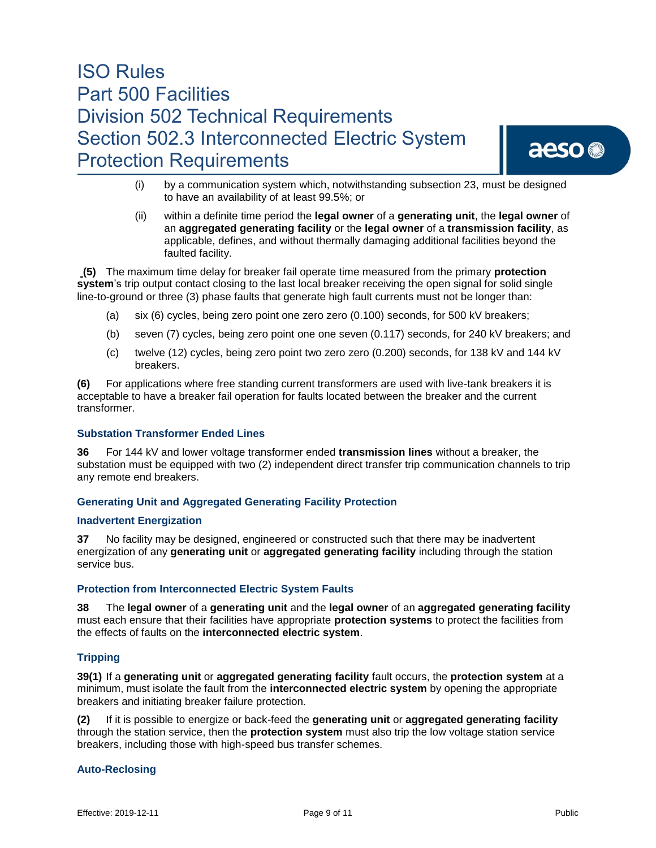aeso<sup>®</sup>

- (i) by a communication system which, notwithstanding subsection 23, must be designed to have an availability of at least 99.5%; or
- (ii) within a definite time period the **legal owner** of a **generating unit**, the **legal owner** of an **aggregated generating facility** or the **legal owner** of a **transmission facility**, as applicable, defines, and without thermally damaging additional facilities beyond the faulted facility.

**(5)** The maximum time delay for breaker fail operate time measured from the primary **protection system**'s trip output contact closing to the last local breaker receiving the open signal for solid single line-to-ground or three (3) phase faults that generate high fault currents must not be longer than:

- (a) six (6) cycles, being zero point one zero zero (0.100) seconds, for 500 kV breakers;
- (b) seven (7) cycles, being zero point one one seven (0.117) seconds, for 240 kV breakers; and
- (c) twelve (12) cycles, being zero point two zero zero (0.200) seconds, for 138 kV and 144 kV breakers.

**(6)** For applications where free standing current transformers are used with live-tank breakers it is acceptable to have a breaker fail operation for faults located between the breaker and the current transformer.

# **Substation Transformer Ended Lines**

**36** For 144 kV and lower voltage transformer ended **transmission lines** without a breaker, the substation must be equipped with two (2) independent direct transfer trip communication channels to trip any remote end breakers.

# **Generating Unit and Aggregated Generating Facility Protection**

## **Inadvertent Energization**

**37** No facility may be designed, engineered or constructed such that there may be inadvertent energization of any **generating unit** or **aggregated generating facility** including through the station service bus.

# **Protection from Interconnected Electric System Faults**

**38** The **legal owner** of a **generating unit** and the **legal owner** of an **aggregated generating facility** must each ensure that their facilities have appropriate **protection systems** to protect the facilities from the effects of faults on the **interconnected electric system**.

# **Tripping**

**39(1)** If a **generating unit** or **aggregated generating facility** fault occurs, the **protection system** at a minimum, must isolate the fault from the **interconnected electric system** by opening the appropriate breakers and initiating breaker failure protection.

**(2)** If it is possible to energize or back-feed the **generating unit** or **aggregated generating facility** through the station service, then the **protection system** must also trip the low voltage station service breakers, including those with high-speed bus transfer schemes.

#### **Auto-Reclosing**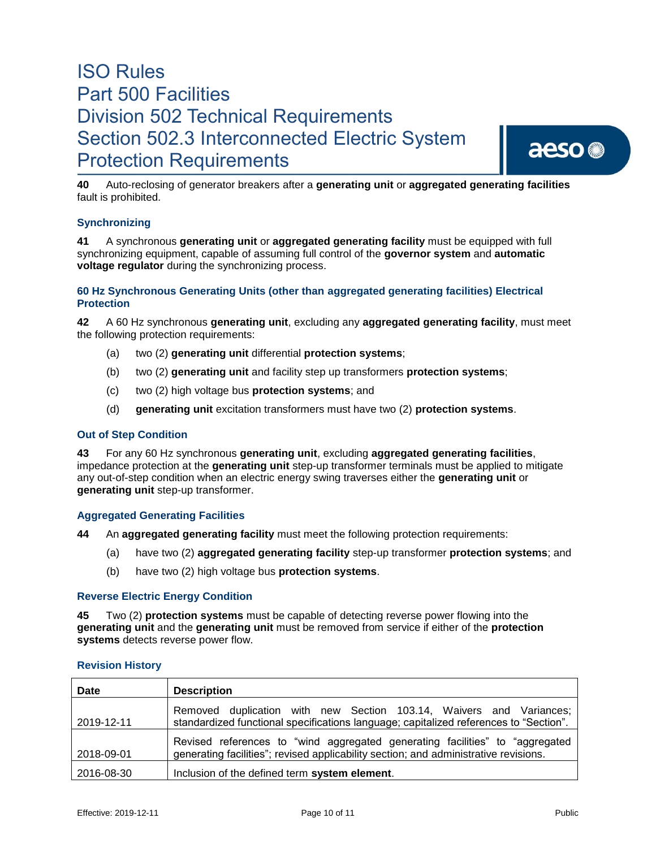

**40** Auto-reclosing of generator breakers after a **generating unit** or **aggregated generating facilities** fault is prohibited.

# **Synchronizing**

**41** A synchronous **generating unit** or **aggregated generating facility** must be equipped with full synchronizing equipment, capable of assuming full control of the **governor system** and **automatic voltage regulator** during the synchronizing process.

## **60 Hz Synchronous Generating Units (other than aggregated generating facilities) Electrical Protection**

**42** A 60 Hz synchronous **generating unit**, excluding any **aggregated generating facility**, must meet the following protection requirements:

- (a) two (2) **generating unit** differential **protection systems**;
- (b) two (2) **generating unit** and facility step up transformers **protection systems**;
- (c) two (2) high voltage bus **protection systems**; and
- (d) **generating unit** excitation transformers must have two (2) **protection systems**.

#### **Out of Step Condition**

**43** For any 60 Hz synchronous **generating unit**, excluding **aggregated generating facilities**, impedance protection at the **generating unit** step-up transformer terminals must be applied to mitigate any out-of-step condition when an electric energy swing traverses either the **generating unit** or **generating unit** step-up transformer.

#### **Aggregated Generating Facilities**

**44** An **aggregated generating facility** must meet the following protection requirements:

- (a) have two (2) **aggregated generating facility** step-up transformer **protection systems**; and
- (b) have two (2) high voltage bus **protection systems**.

#### **Reverse Electric Energy Condition**

**45** Two (2) **protection systems** must be capable of detecting reverse power flowing into the **generating unit** and the **generating unit** must be removed from service if either of the **protection systems** detects reverse power flow.

## **Revision History**

| <b>Date</b> | <b>Description</b>                                                                                                                                                   |
|-------------|----------------------------------------------------------------------------------------------------------------------------------------------------------------------|
| 2019-12-11  | Removed duplication with new Section 103.14, Waivers and Variances;<br>standardized functional specifications language; capitalized references to "Section".         |
| 2018-09-01  | Revised references to "wind aggregated generating facilities" to "aggregated<br>generating facilities"; revised applicability section; and administrative revisions. |
| 2016-08-30  | Inclusion of the defined term system element.                                                                                                                        |